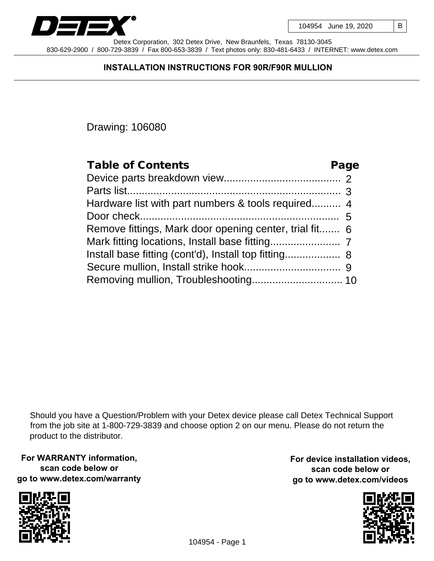

B



Detex Corporation, 302 Detex Drive, New Braunfels, Texas 78130-3045 830-629-2900 / 800-729-3839 / Fax 800-653-3839 / Text photos only: 830-481-6433 / INTERNET: www.detex.com

#### **INSTALLATION INSTRUCTIONS FOR 90R/F90R MULLION**

Drawing: 106080

| <b>Table of Contents</b>                               | Page |
|--------------------------------------------------------|------|
|                                                        |      |
|                                                        |      |
| Hardware list with part numbers & tools required 4     |      |
|                                                        |      |
| Remove fittings, Mark door opening center, trial fit 6 |      |
|                                                        |      |
|                                                        |      |
|                                                        |      |
| Removing mullion, Troubleshooting 10                   |      |

Should you have a Question/Problem with your Detex device please call Detex Technical Support from the job site at 1-800-729-3839 and choose option 2 on our menu. Please do not return the product to the distributor.

**For WARRANTY information, scan code below or go to www.detex.com/warranty**



**For device installation videos, scan code below or go to www.detex.com/videos**

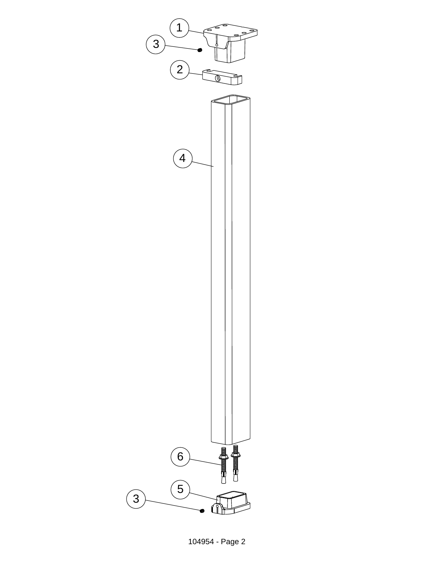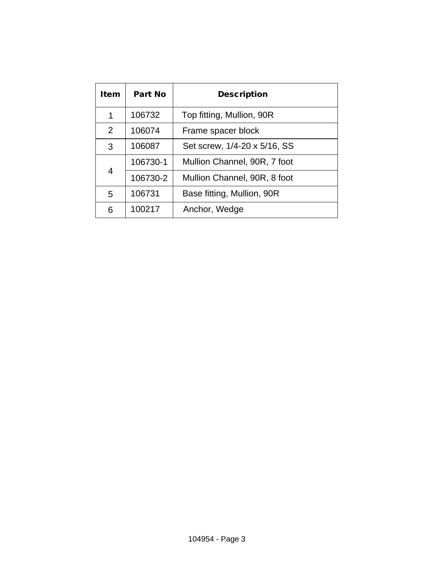| Item | Part No  | Description                  |  |
|------|----------|------------------------------|--|
| 1    | 106732   | Top fitting, Mullion, 90R    |  |
| 2    | 106074   | Frame spacer block           |  |
| 3    | 106087   | Set screw, 1/4-20 x 5/16, SS |  |
|      | 106730-1 | Mullion Channel, 90R, 7 foot |  |
| 4    | 106730-2 | Mullion Channel, 90R, 8 foot |  |
| 5    | 106731   | Base fitting, Mullion, 90R   |  |
| 6    | 100217   | Anchor, Wedge                |  |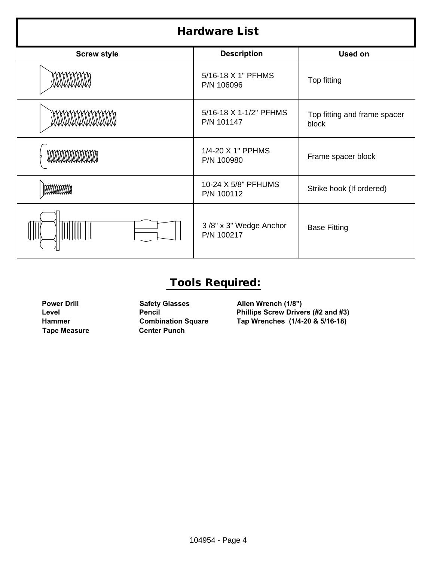| <b>Hardware List</b>   |                                      |                                       |  |
|------------------------|--------------------------------------|---------------------------------------|--|
| <b>Screw style</b>     | <b>Description</b>                   | <b>Used on</b>                        |  |
|                        | 5/16-18 X 1" PFHMS<br>P/N 106096     | Top fitting                           |  |
|                        | 5/16-18 X 1-1/2" PFHMS<br>P/N 101147 | Top fitting and frame spacer<br>block |  |
| <b>MANAHAMANAHAMAN</b> | 1/4-20 X 1" PPHMS<br>P/N 100980      | Frame spacer block                    |  |
|                        | 10-24 X 5/8" PFHUMS<br>P/N 100112    | Strike hook (If ordered)              |  |
|                        | 3/8" x 3" Wedge Anchor<br>P/N 100217 | <b>Base Fitting</b>                   |  |

#### Tools Required:

**Tape Measure Center Punch** 

**Power Drill Safety Glasses Allen Wrench (1/8")** Level **Level Pencil Pencil Pencil Pencil Pencil Pencil Phillips Screw Drivers (#2 and #3)**<br> **Phillips Screw Drivers (1/4-20 & 5/16-18) Hammer Combination Square Tap Wrenches (1/4-20 & 5/16-18)**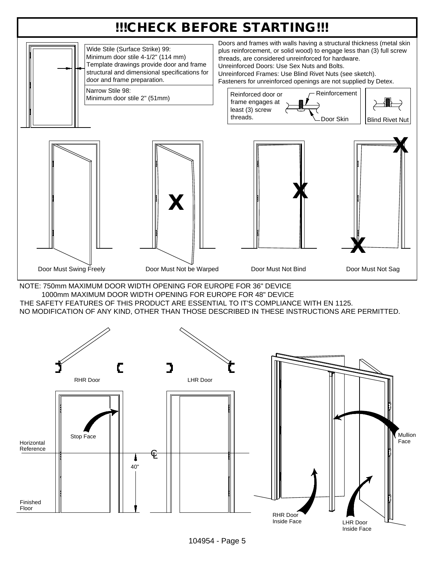### !!!CHECK BEFORE STARTING!!!



NOTE: 750mm MAXIMUM DOOR WIDTH OPENING FOR EUROPE FOR 36" DEVICE 1000mm MAXIMUM DOOR WIDTH OPENING FOR EUROPE FOR 48" DEVICE THE SAFETY FEATURES OF THIS PRODUCT ARE ESSENTIAL TO IT'S COMPLIANCE WITH EN 1125. NO MODIFICATION OF ANY KIND, OTHER THAN THOSE DESCRIBED IN THESE INSTRUCTIONS ARE PERMITTED.



104954 - Page 5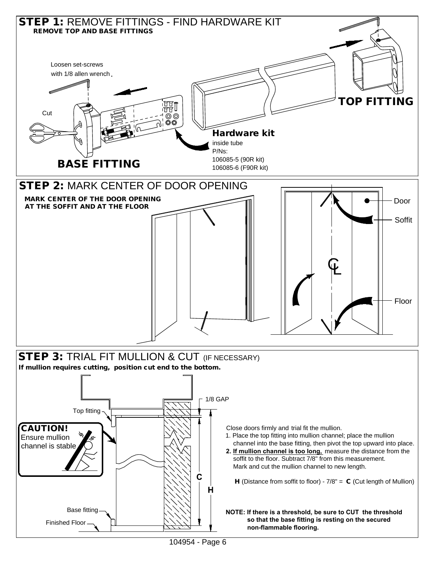

104954 - Page 6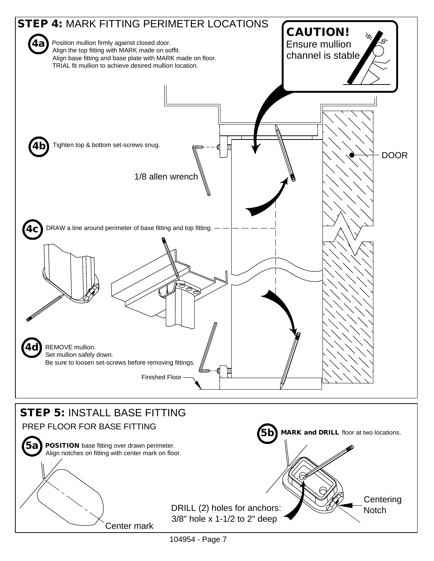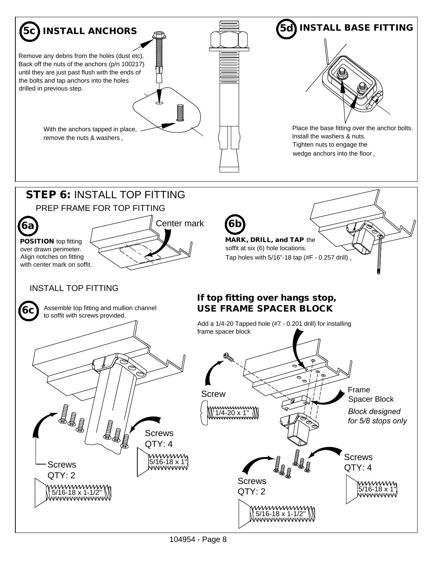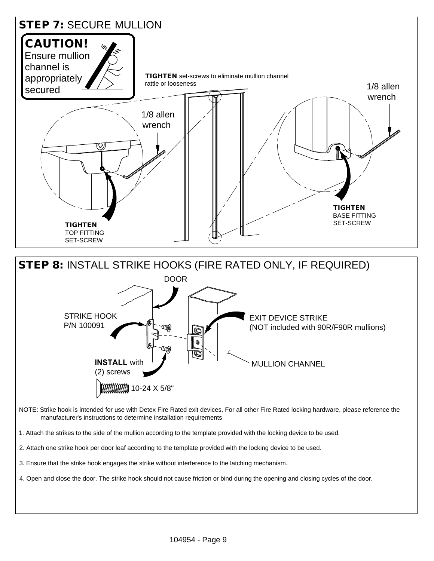



1. Attach the strikes to the side of the mullion according to the template provided with the locking device to be used.

- 2. Attach one strike hook per door leaf according to the template provided with the locking device to be used.
- 3. Ensure that the strike hook engages the strike without interference to the latching mechanism.
- 4. Open and close the door. The strike hook should not cause friction or bind during the opening and closing cycles of the door.